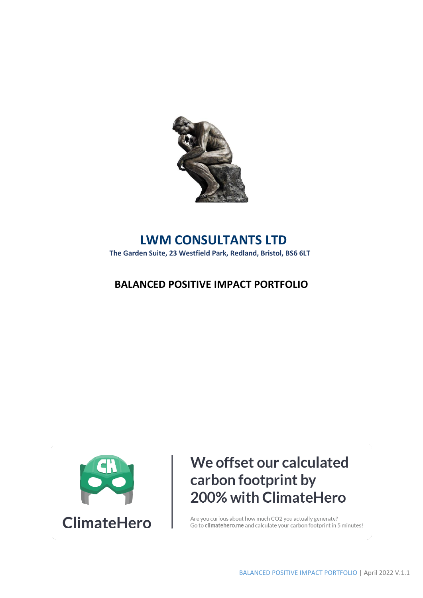

## **LWM CONSULTANTS LTD**

**The Garden Suite, 23 Westfield Park, Redland, Bristol, BS6 6LT**

### **BALANCED POSITIVE IMPACT PORTFOLIO**



# We offset our calculated carbon footprint by 200% with ClimateHero

Are you curious about how much CO2 you actually generate? Go to climate hero. me and calculate your carbon footprint in 5 minutes!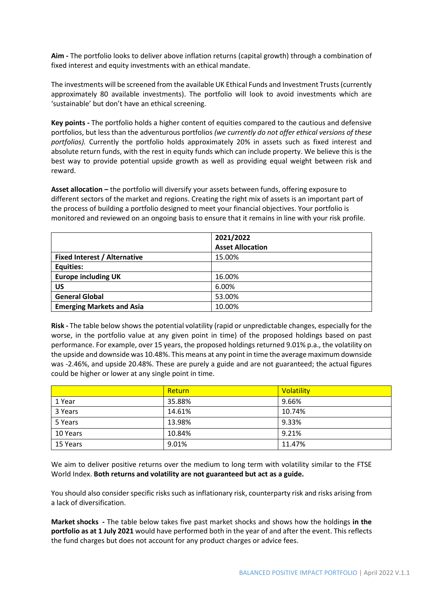**Aim -** The portfolio looks to deliver above inflation returns (capital growth) through a combination of fixed interest and equity investments with an ethical mandate.

The investments will be screened from the available UK Ethical Funds and Investment Trusts (currently approximately 80 available investments). The portfolio will look to avoid investments which are 'sustainable' but don't have an ethical screening.

**Key points -** The portfolio holds a higher content of equities compared to the cautious and defensive portfolios, but less than the adventurous portfolios *(we currently do not offer ethical versions of these portfolios).* Currently the portfolio holds approximately 20% in assets such as fixed interest and absolute return funds, with the rest in equity funds which can include property. We believe this is the best way to provide potential upside growth as well as providing equal weight between risk and reward.

**Asset allocation –** the portfolio will diversify your assets between funds, offering exposure to different sectors of the market and regions. Creating the right mix of assets is an important part of the process of building a portfolio designed to meet your financial objectives. Your portfolio is monitored and reviewed on an ongoing basis to ensure that it remains in line with your risk profile.

|                                     | 2021/2022               |
|-------------------------------------|-------------------------|
|                                     | <b>Asset Allocation</b> |
| <b>Fixed Interest / Alternative</b> | 15.00%                  |
| Equities:                           |                         |
| <b>Europe including UK</b>          | 16.00%                  |
| US                                  | 6.00%                   |
| <b>General Global</b>               | 53.00%                  |
| <b>Emerging Markets and Asia</b>    | 10.00%                  |

**Risk -** The table below shows the potential volatility (rapid or unpredictable changes, especially for the worse, in the portfolio value at any given point in time) of the proposed holdings based on past performance. For example, over 15 years, the proposed holdings returned 9.01% p.a., the volatility on the upside and downside was 10.48%. This means at any point in time the average maximum downside was -2.46%, and upside 20.48%. These are purely a guide and are not guaranteed; the actual figures could be higher or lower at any single point in time.

|          | Return | <b>Volatility</b> |
|----------|--------|-------------------|
| 1 Year   | 35.88% | 9.66%             |
| 3 Years  | 14.61% | 10.74%            |
| 5 Years  | 13.98% | 9.33%             |
| 10 Years | 10.84% | 9.21%             |
| 15 Years | 9.01%  | 11.47%            |

We aim to deliver positive returns over the medium to long term with volatility similar to the FTSE World Index. **Both returns and volatility are not guaranteed but act as a guide.** 

You should also consider specific risks such as inflationary risk, counterparty risk and risks arising from a lack of diversification.

**Market shocks -** The table below takes five past market shocks and shows how the holdings **in the portfolio as at 1 July 2021** would have performed both in the year of and after the event. This reflects the fund charges but does not account for any product charges or advice fees.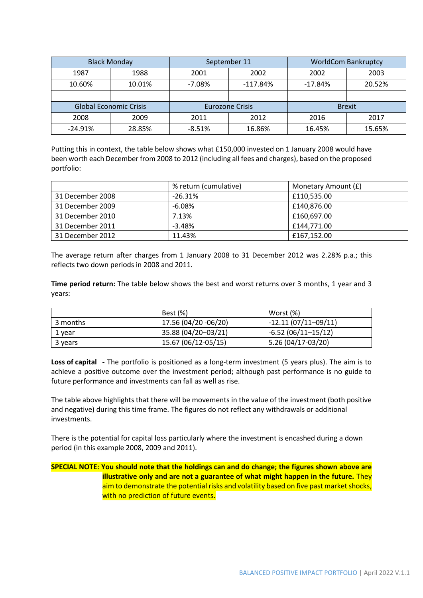|                               | <b>Black Monday</b> |                        | September 11 |               | <b>WorldCom Bankruptcy</b> |
|-------------------------------|---------------------|------------------------|--------------|---------------|----------------------------|
| 1987                          | 1988                | 2001                   | 2002         | 2002          | 2003                       |
| 10.60%                        | 10.01%              | $-7.08%$               | $-117.84%$   | $-17.84%$     | 20.52%                     |
|                               |                     |                        |              |               |                            |
| <b>Global Economic Crisis</b> |                     | <b>Eurozone Crisis</b> |              | <b>Brexit</b> |                            |
| 2008                          | 2009                | 2011                   | 2012         | 2016          | 2017                       |
| $-24.91%$                     | 28.85%              | $-8.51%$               | 16.86%       | 16.45%        | 15.65%                     |

Putting this in context, the table below shows what £150,000 invested on 1 January 2008 would have been worth each December from 2008 to 2012 (including all fees and charges), based on the proposed portfolio:

|                  | % return (cumulative) | Monetary Amount (£) |  |
|------------------|-----------------------|---------------------|--|
| 31 December 2008 | $-26.31\%$            | £110.535.00         |  |
| 31 December 2009 | $-6.08\%$             | £140.876.00         |  |
| 31 December 2010 | 7.13%                 | £160.697.00         |  |
| 31 December 2011 | $-3.48%$              | £144.771.00         |  |
| 31 December 2012 | 11.43%                | £167,152.00         |  |

The average return after charges from 1 January 2008 to 31 December 2012 was 2.28% p.a.; this reflects two down periods in 2008 and 2011.

**Time period return:** The table below shows the best and worst returns over 3 months, 1 year and 3 years:

|          | Best (%)             | Worst (%)             |
|----------|----------------------|-----------------------|
| 3 months | 17.56 (04/20 -06/20) | $-12.11(07/11-09/11)$ |
| 1 year   | 35.88 (04/20-03/21)  | $-6.52(06/11-15/12)$  |
| 3 years  | 15.67 (06/12-05/15)  | 5.26 (04/17-03/20)    |

**Loss of capital -** The portfolio is positioned as a long-term investment (5 years plus). The aim is to achieve a positive outcome over the investment period; although past performance is no guide to future performance and investments can fall as well as rise.

The table above highlights that there will be movements in the value of the investment (both positive and negative) during this time frame. The figures do not reflect any withdrawals or additional investments.

There is the potential for capital loss particularly where the investment is encashed during a down period (in this example 2008, 2009 and 2011).

### **SPECIAL NOTE: You should note that the holdings can and do change; the figures shown above are illustrative only and are not a guarantee of what might happen in the future.** They aim to demonstrate the potential risks and volatility based on five past market shocks, with no prediction of future events.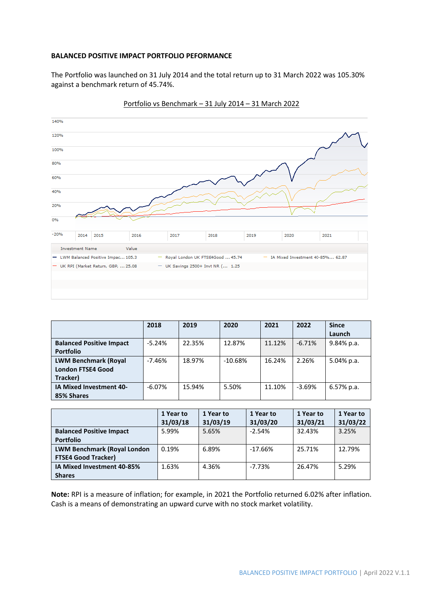#### **BALANCED POSITIVE IMPACT PORTFOLIO PEFORMANCE**

The Portfolio was launched on 31 July 2014 and the total return up to 31 March 2022 was 105.30% against a benchmark return of 45.74%.



Portfolio vs Benchmark – 31 July 2014 – 31 March 2022

|                                 | 2018     | 2019   | 2020      | 2021   | 2022     | <b>Since</b>  |
|---------------------------------|----------|--------|-----------|--------|----------|---------------|
|                                 |          |        |           |        |          | Launch        |
| <b>Balanced Positive Impact</b> | $-5.24%$ | 22.35% | 12.87%    | 11.12% | $-6.71%$ | $9.84\%$ p.a. |
| <b>Portfolio</b>                |          |        |           |        |          |               |
| <b>LWM Benchmark (Royal</b>     | $-7.46%$ | 18.97% | $-10.68%$ | 16.24% | 2.26%    | $5.04\%$ p.a. |
| <b>London FTSE4 Good</b>        |          |        |           |        |          |               |
| Tracker)                        |          |        |           |        |          |               |
| IA Mixed Investment 40-         | $-6.07%$ | 15.94% | 5.50%     | 11.10% | $-3.69%$ | $6.57\%$ p.a. |
| 85% Shares                      |          |        |           |        |          |               |

|                                    | 1 Year to | 1 Year to | 1 Year to | 1 Year to | 1 Year to |
|------------------------------------|-----------|-----------|-----------|-----------|-----------|
|                                    | 31/03/18  | 31/03/19  | 31/03/20  | 31/03/21  | 31/03/22  |
| <b>Balanced Positive Impact</b>    | 5.99%     | 5.65%     | $-2.54%$  | 32.43%    | 3.25%     |
| <b>Portfolio</b>                   |           |           |           |           |           |
| <b>LWM Benchmark (Royal London</b> | 0.19%     | 6.89%     | $-17.66%$ | 25.71%    | 12.79%    |
| <b>FTSE4 Good Tracker)</b>         |           |           |           |           |           |
| IA Mixed Investment 40-85%         | 1.63%     | 4.36%     | $-7.73%$  | 26.47%    | 5.29%     |
| <b>Shares</b>                      |           |           |           |           |           |

**Note:** RPI is a measure of inflation; for example, in 2021 the Portfolio returned 6.02% after inflation. Cash is a means of demonstrating an upward curve with no stock market volatility.